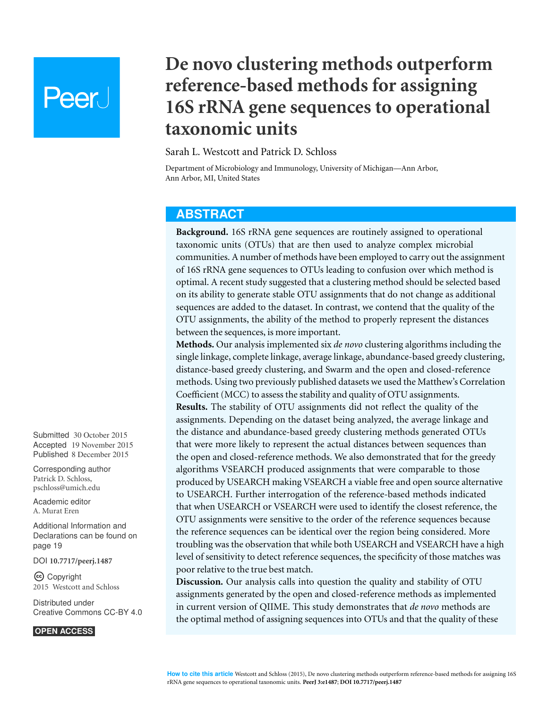# **Peer**

# **De novo clustering methods outperform reference-based methods for assigning 16S rRNA gene sequences to operational taxonomic units**

Sarah L. Westcott and Patrick D. Schloss

Department of Microbiology and Immunology, University of Michigan—Ann Arbor, Ann Arbor, MI, United States

# **ABSTRACT**

**Background.** 16S rRNA gene sequences are routinely assigned to operational taxonomic units (OTUs) that are then used to analyze complex microbial communities. A number of methods have been employed to carry out the assignment of 16S rRNA gene sequences to OTUs leading to confusion over which method is optimal. A recent study suggested that a clustering method should be selected based on its ability to generate stable OTU assignments that do not change as additional sequences are added to the dataset. In contrast, we contend that the quality of the OTU assignments, the ability of the method to properly represent the distances between the sequences, is more important.

**Methods.** Our analysis implemented six *de novo* clustering algorithms including the single linkage, complete linkage, average linkage, abundance-based greedy clustering, distance-based greedy clustering, and Swarm and the open and closed-reference methods. Using two previously published datasets we used the Matthew's Correlation Coefficient (MCC) to assess the stability and quality of OTU assignments. **Results.** The stability of OTU assignments did not reflect the quality of the assignments. Depending on the dataset being analyzed, the average linkage and the distance and abundance-based greedy clustering methods generated OTUs that were more likely to represent the actual distances between sequences than the open and closed-reference methods. We also demonstrated that for the greedy algorithms VSEARCH produced assignments that were comparable to those produced by USEARCH making VSEARCH a viable free and open source alternative to USEARCH. Further interrogation of the reference-based methods indicated that when USEARCH or VSEARCH were used to identify the closest reference, the OTU assignments were sensitive to the order of the reference sequences because the reference sequences can be identical over the region being considered. More troubling was the observation that while both USEARCH and VSEARCH have a high level of sensitivity to detect reference sequences, the specificity of those matches was poor relative to the true best match.

**Discussion.** Our analysis calls into question the quality and stability of OTU assignments generated by the open and closed-reference methods as implemented in current version of QIIME. This study demonstrates that *de novo* methods are the optimal method of assigning sequences into OTUs and that the quality of these

Submitted 30 October 2015 Accepted 19 November 2015 Published 8 December 2015

Corresponding author Patrick D. Schloss, [pschloss@umich.edu](mailto:pschloss@umich.edu)

[Academic editor](https://peerj.com/academic-boards/editors/) [A. Murat Eren](https://peerj.com/academic-boards/editors/)

[Additional Information and](#page-18-0) [Declarations can be found on](#page-18-0) [page 19](#page-18-0)

[DOI](http://dx.doi.org/10.7717/peerj.1487) **[10.7717/peerj.1487](http://dx.doi.org/10.7717/peerj.1487)**

Copyright 2015 Westcott and Schloss

[Distributed under](http://creativecommons.org/licenses/by/4.0/) [Creative Commons CC-BY 4.0](http://creativecommons.org/licenses/by/4.0/)

#### **OPEN ACCESS**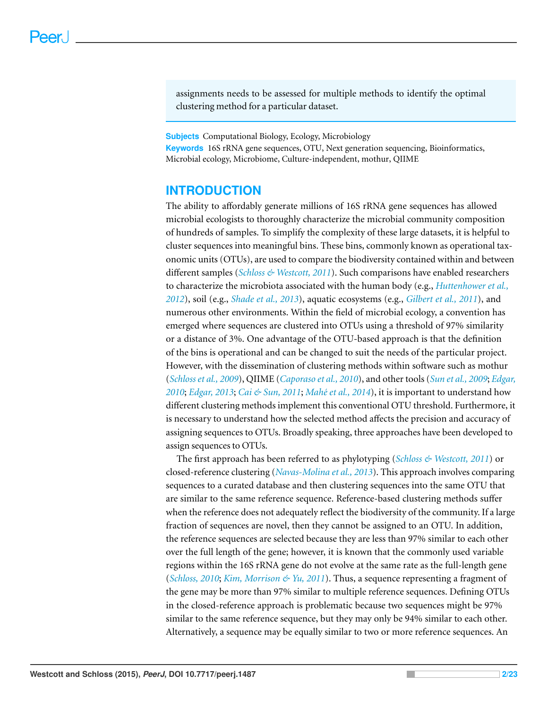assignments needs to be assessed for multiple methods to identify the optimal clustering method for a particular dataset.

**Subjects** Computational Biology, Ecology, Microbiology **Keywords** 16S rRNA gene sequences, OTU, Next generation sequencing, Bioinformatics, Microbial ecology, Microbiome, Culture-independent, mothur, QIIME

#### **INTRODUCTION**

The ability to affordably generate millions of 16S rRNA gene sequences has allowed microbial ecologists to thoroughly characterize the microbial community composition of hundreds of samples. To simplify the complexity of these large datasets, it is helpful to cluster sequences into meaningful bins. These bins, commonly known as operational taxonomic units (OTUs), are used to compare the biodiversity contained within and between different samples (*[Schloss](#page-21-0) [&](#page-21-0) [Westcott,](#page-21-0) [2011](#page-21-0)*). Such comparisons have enabled researchers to characterize the microbiota associated with the human body (e.g., *[Huttenhower](#page-19-0) [et](#page-19-0) [al.,](#page-19-0) [2012](#page-19-0)*), soil (e.g., *[Shade](#page-21-1) [et](#page-21-1) [al.,](#page-21-1) [2013](#page-21-1)*), aquatic ecosystems (e.g., *[Gilbert](#page-19-1) [et](#page-19-1) [al.,](#page-19-1) [2011](#page-19-1)*), and numerous other environments. Within the field of microbial ecology, a convention has emerged where sequences are clustered into OTUs using a threshold of 97% similarity or a distance of 3%. One advantage of the OTU-based approach is that the definition of the bins is operational and can be changed to suit the needs of the particular project. However, with the dissemination of clustering methods within software such as mothur (*[Schlosset](#page-21-2) [al.,](#page-21-2) [2009](#page-21-2)*), QIIME (*[Caporaso](#page-19-2) [et](#page-19-2) [al.,](#page-19-2) [2010](#page-19-2)*), and other tools (*[Sun](#page-21-3) [et](#page-21-3) [al.,](#page-21-3) [2009](#page-21-3)*; *[Edgar,](#page-19-3) [2010](#page-19-3)*; *[Edgar,](#page-19-4) [2013](#page-19-4)*; *[Cai](#page-19-5) [&](#page-19-5) [Sun,](#page-19-5) [2011](#page-19-5)*; *[Mah´e](#page-20-0) [et](#page-20-0) [al.,](#page-20-0) [2014](#page-20-0)*), it is important to understand how different clustering methods implement this conventional OTU threshold. Furthermore, it is necessary to understand how the selected method affects the precision and accuracy of assigning sequences to OTUs. Broadly speaking, three approaches have been developed to assign sequences to OTUs.

The first approach has been referred to as phylotyping (*[Schloss](#page-21-0) [&](#page-21-0) [Westcott,](#page-21-0) [2011](#page-21-0)*) or closed-reference clustering (*[Navas-Molina](#page-20-1) [et](#page-20-1) [al.,](#page-20-1) [2013](#page-20-1)*). This approach involves comparing sequences to a curated database and then clustering sequences into the same OTU that are similar to the same reference sequence. Reference-based clustering methods suffer when the reference does not adequately reflect the biodiversity of the community. If a large fraction of sequences are novel, then they cannot be assigned to an OTU. In addition, the reference sequences are selected because they are less than 97% similar to each other over the full length of the gene; however, it is known that the commonly used variable regions within the 16S rRNA gene do not evolve at the same rate as the full-length gene (*[Schloss,](#page-21-4) [2010](#page-21-4)*; *[Kim,](#page-20-2) [Morrison](#page-20-2) [&](#page-20-2) [Yu,](#page-20-2) [2011](#page-20-2)*). Thus, a sequence representing a fragment of the gene may be more than 97% similar to multiple reference sequences. Defining OTUs in the closed-reference approach is problematic because two sequences might be 97% similar to the same reference sequence, but they may only be 94% similar to each other. Alternatively, a sequence may be equally similar to two or more reference sequences. An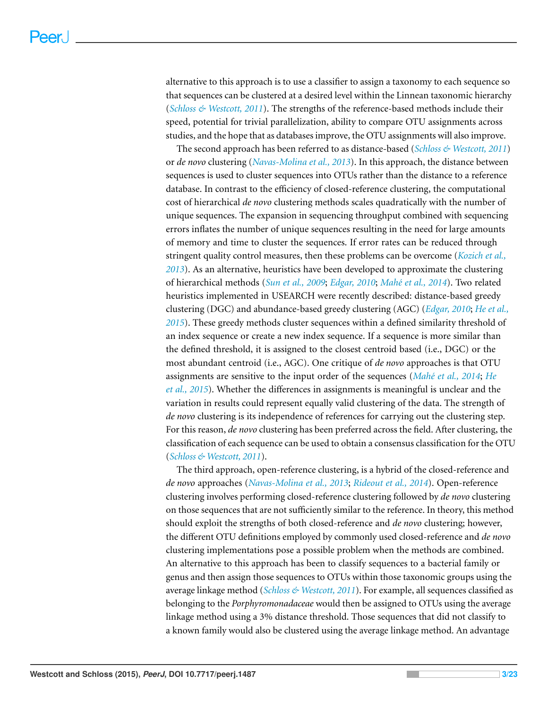alternative to this approach is to use a classifier to assign a taxonomy to each sequence so that sequences can be clustered at a desired level within the Linnean taxonomic hierarchy (*[Schloss](#page-21-0) [&](#page-21-0) [Westcott,](#page-21-0) [2011](#page-21-0)*). The strengths of the reference-based methods include their speed, potential for trivial parallelization, ability to compare OTU assignments across studies, and the hope that as databases improve, the OTU assignments will also improve.

The second approach has been referred to as distance-based (*[Schloss](#page-21-0) [&](#page-21-0) [Westcott,](#page-21-0) [2011](#page-21-0)*) or *de novo* clustering (*[Navas-Molina](#page-20-1) [et](#page-20-1) [al.,](#page-20-1) [2013](#page-20-1)*). In this approach, the distance between sequences is used to cluster sequences into OTUs rather than the distance to a reference database. In contrast to the efficiency of closed-reference clustering, the computational cost of hierarchical *de novo* clustering methods scales quadratically with the number of unique sequences. The expansion in sequencing throughput combined with sequencing errors inflates the number of unique sequences resulting in the need for large amounts of memory and time to cluster the sequences. If error rates can be reduced through stringent quality control measures, then these problems can be overcome (*[Kozich](#page-20-3) [et](#page-20-3) [al.,](#page-20-3) [2013](#page-20-3)*). As an alternative, heuristics have been developed to approximate the clustering of hierarchical methods (*[Sun](#page-21-3) [et](#page-21-3) [al.,](#page-21-3) [2009](#page-21-3)*; *[Edgar,](#page-19-3) [2010](#page-19-3)*; *[Mah´e](#page-20-0) [et](#page-20-0) [al.,](#page-20-0) [2014](#page-20-0)*). Two related heuristics implemented in USEARCH were recently described: distance-based greedy clustering (DGC) and abundance-based greedy clustering (AGC) (*[Edgar,](#page-19-3) [2010](#page-19-3)*; *[He](#page-19-6) [et](#page-19-6) [al.,](#page-19-6) [2015](#page-19-6)*). These greedy methods cluster sequences within a defined similarity threshold of an index sequence or create a new index sequence. If a sequence is more similar than the defined threshold, it is assigned to the closest centroid based (i.e., DGC) or the most abundant centroid (i.e., AGC). One critique of *de novo* approaches is that OTU assignments are sensitive to the input order of the sequences (*Mahé [et](#page-20-0) [al.,](#page-20-0) [2014](#page-20-0)*; *[He](#page-19-6) [et](#page-19-6) [al.,](#page-19-6) [2015](#page-19-6)*). Whether the differences in assignments is meaningful is unclear and the variation in results could represent equally valid clustering of the data. The strength of *de novo* clustering is its independence of references for carrying out the clustering step. For this reason, *de novo* clustering has been preferred across the field. After clustering, the classification of each sequence can be used to obtain a consensus classification for the OTU (*[Schloss](#page-21-0) [&](#page-21-0) [Westcott,](#page-21-0) [2011](#page-21-0)*).

The third approach, open-reference clustering, is a hybrid of the closed-reference and *de novo* approaches (*[Navas-Molina](#page-20-1) [et](#page-20-1) [al.,](#page-20-1) [2013](#page-20-1)*; *[Rideout](#page-21-5) [et](#page-21-5) [al.,](#page-21-5) [2014](#page-21-5)*). Open-reference clustering involves performing closed-reference clustering followed by *de novo* clustering on those sequences that are not sufficiently similar to the reference. In theory, this method should exploit the strengths of both closed-reference and *de novo* clustering; however, the different OTU definitions employed by commonly used closed-reference and *de novo* clustering implementations pose a possible problem when the methods are combined. An alternative to this approach has been to classify sequences to a bacterial family or genus and then assign those sequences to OTUs within those taxonomic groups using the average linkage method (*[Schloss](#page-21-0) [&](#page-21-0) [Westcott,](#page-21-0) [2011](#page-21-0)*). For example, all sequences classified as belonging to the *Porphyromonadaceae* would then be assigned to OTUs using the average linkage method using a 3% distance threshold. Those sequences that did not classify to a known family would also be clustered using the average linkage method. An advantage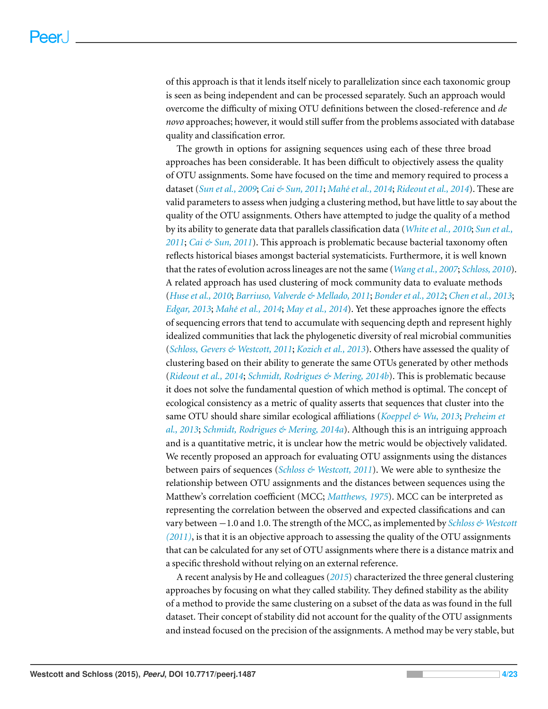of this approach is that it lends itself nicely to parallelization since each taxonomic group is seen as being independent and can be processed separately. Such an approach would overcome the difficulty of mixing OTU definitions between the closed-reference and *de novo* approaches; however, it would still suffer from the problems associated with database quality and classification error.

The growth in options for assigning sequences using each of these three broad approaches has been considerable. It has been difficult to objectively assess the quality of OTU assignments. Some have focused on the time and memory required to process a dataset (*[Sun](#page-21-3) [et](#page-21-3) [al.,](#page-21-3) [2009](#page-21-3)*; *[Cai](#page-19-5) [&](#page-19-5) [Sun,](#page-19-5) [2011](#page-19-5)*; *[Mah´e](#page-20-0) [et](#page-20-0) [al.,](#page-20-0) [2014](#page-20-0)*; *[Rideout](#page-21-5) [et](#page-21-5) [al.,](#page-21-5) [2014](#page-21-5)*). These are valid parameters to assess when judging a clustering method, but have little to say about the quality of the OTU assignments. Others have attempted to judge the quality of a method by its ability to generate data that parallels classification data (*[White](#page-22-0) [et](#page-22-0) [al.,](#page-22-0) [2010](#page-22-0)*; *[Sun](#page-22-1) [et](#page-22-1) [al.,](#page-22-1) [2011](#page-22-1)*; *[Cai](#page-19-5) [&](#page-19-5) [Sun,](#page-19-5) [2011](#page-19-5)*). This approach is problematic because bacterial taxonomy often reflects historical biases amongst bacterial systematicists. Furthermore, it is well known that the rates of evolution across lineages are not the same (*[Wang](#page-22-2) [et](#page-22-2) [al.,](#page-22-2) [2007](#page-22-2)*; *[Schloss,](#page-21-4) [2010](#page-21-4)*). A related approach has used clustering of mock community data to evaluate methods (*[Huse](#page-19-7) [et](#page-19-7) [al.,](#page-19-7) [2010](#page-19-7)*; *[Barriuso,](#page-18-1) [Valverde](#page-18-1) [&](#page-18-1) [Mellado,](#page-18-1) [2011](#page-18-1)*; *[Bonder](#page-18-2) [et](#page-18-2) [al.,](#page-18-2) [2012](#page-18-2)*; *[Chen](#page-19-8) [et](#page-19-8) [al.,](#page-19-8) [2013](#page-19-8)*; *[Edgar,](#page-19-4) [2013](#page-19-4)*; *[Mah´e](#page-20-0) [et](#page-20-0) [al.,](#page-20-0) [2014](#page-20-0)*; *[May](#page-20-4) [et](#page-20-4) [al.,](#page-20-4) [2014](#page-20-4)*). Yet these approaches ignore the effects of sequencing errors that tend to accumulate with sequencing depth and represent highly idealized communities that lack the phylogenetic diversity of real microbial communities (*[Schloss,](#page-21-6) [Gevers](#page-21-6) [&](#page-21-6) [Westcott,](#page-21-6) [2011](#page-21-6)*; *[Kozich](#page-20-3) [et](#page-20-3) [al.,](#page-20-3) [2013](#page-20-3)*). Others have assessed the quality of clustering based on their ability to generate the same OTUs generated by other methods (*[Rideout](#page-21-5) [et](#page-21-5) [al.,](#page-21-5) [2014](#page-21-5)*; *[Schmidt,](#page-21-7) [Rodrigues](#page-21-7) [&](#page-21-7) [Mering,](#page-21-7) [2014b](#page-21-7)*). This is problematic because it does not solve the fundamental question of which method is optimal. The concept of ecological consistency as a metric of quality asserts that sequences that cluster into the same OTU should share similar ecological affiliations (*[Koeppel](#page-20-5) [&](#page-20-5) [Wu,](#page-20-5) [2013](#page-20-5)*; *[Preheim](#page-20-6) [et](#page-20-6) [al.,](#page-20-6) [2013](#page-20-6)*; *[Schmidt,](#page-21-8) [Rodrigues](#page-21-8) [&](#page-21-8) [Mering,](#page-21-8) [2014a](#page-21-8)*). Although this is an intriguing approach and is a quantitative metric, it is unclear how the metric would be objectively validated. We recently proposed an approach for evaluating OTU assignments using the distances between pairs of sequences (*[Schloss](#page-21-0) [&](#page-21-0) [Westcott,](#page-21-0) [2011](#page-21-0)*). We were able to synthesize the relationship between OTU assignments and the distances between sequences using the Matthew's correlation coefficient (MCC; *[Matthews,](#page-20-7) [1975](#page-20-7)*). MCC can be interpreted as representing the correlation between the observed and expected classifications and can vary between −1.0 and 1.0. The strength of the MCC, as implemented by *[Schloss](#page-21-0) [&](#page-21-0) [Westcott](#page-21-0) [\(2011\)](#page-21-0)*, is that it is an objective approach to assessing the quality of the OTU assignments that can be calculated for any set of OTU assignments where there is a distance matrix and a specific threshold without relying on an external reference.

A recent analysis by He and colleagues (*[2015](#page-19-6)*) characterized the three general clustering approaches by focusing on what they called stability. They defined stability as the ability of a method to provide the same clustering on a subset of the data as was found in the full dataset. Their concept of stability did not account for the quality of the OTU assignments and instead focused on the precision of the assignments. A method may be very stable, but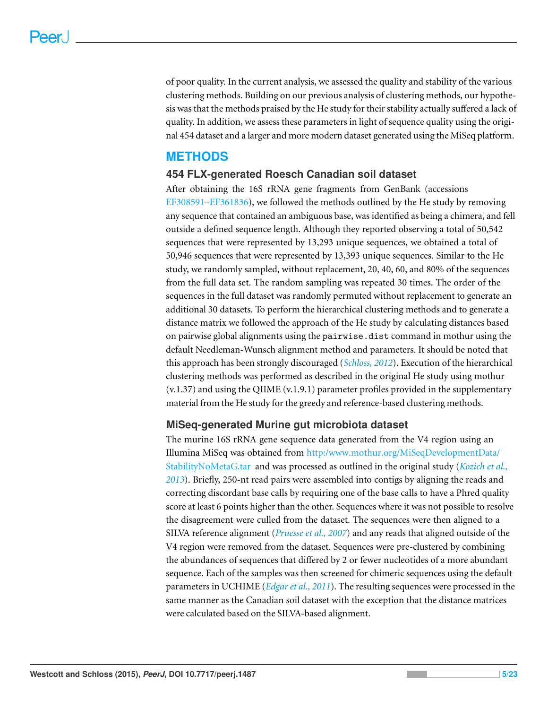of poor quality. In the current analysis, we assessed the quality and stability of the various clustering methods. Building on our previous analysis of clustering methods, our hypothesis was that the methods praised by the He study for their stability actually suffered a lack of quality. In addition, we assess these parameters in light of sequence quality using the original 454 dataset and a larger and more modern dataset generated using the MiSeq platform.

# **METHODS**

#### **454 FLX-generated Roesch Canadian soil dataset**

After obtaining the 16S rRNA gene fragments from GenBank (accessions [EF308591–](https://www.ncbi.nlm.nih.gov/nucleotide?term=EF308591)[EF361836\)](https://www.ncbi.nlm.nih.gov/nucleotide?term=EF361836), we followed the methods outlined by the He study by removing any sequence that contained an ambiguous base, was identified as being a chimera, and fell outside a defined sequence length. Although they reported observing a total of 50,542 sequences that were represented by 13,293 unique sequences, we obtained a total of 50,946 sequences that were represented by 13,393 unique sequences. Similar to the He study, we randomly sampled, without replacement, 20, 40, 60, and 80% of the sequences from the full data set. The random sampling was repeated 30 times. The order of the sequences in the full dataset was randomly permuted without replacement to generate an additional 30 datasets. To perform the hierarchical clustering methods and to generate a distance matrix we followed the approach of the He study by calculating distances based on pairwise global alignments using the pairwise.dist command in mothur using the default Needleman-Wunsch alignment method and parameters. It should be noted that this approach has been strongly discouraged (*[Schloss,](#page-21-9) [2012](#page-21-9)*). Execution of the hierarchical clustering methods was performed as described in the original He study using mothur (v.1.37) and using the QIIME (v.1.9.1) parameter profiles provided in the supplementary material from the He study for the greedy and reference-based clustering methods.

#### **MiSeq-generated Murine gut microbiota dataset**

The murine 16S rRNA gene sequence data generated from the V4 region using an Illumina MiSeq was obtained from [http:/www.mothur.org/MiSeqDevelopmentData/](http://http:/www.mothur.org/MiSeqDevelopmentData/StabilityNoMetaG.tar) [StabilityNoMetaG.tar](http://http:/www.mothur.org/MiSeqDevelopmentData/StabilityNoMetaG.tar) and was processed as outlined in the original study (*[Kozich](#page-20-3) [et](#page-20-3) [al.,](#page-20-3) [2013](#page-20-3)*). Briefly, 250-nt read pairs were assembled into contigs by aligning the reads and correcting discordant base calls by requiring one of the base calls to have a Phred quality score at least 6 points higher than the other. Sequences where it was not possible to resolve the disagreement were culled from the dataset. The sequences were then aligned to a SILVA reference alignment (*[Pruesse](#page-20-8) [et](#page-20-8) [al.,](#page-20-8) [2007](#page-20-8)*) and any reads that aligned outside of the V4 region were removed from the dataset. Sequences were pre-clustered by combining the abundances of sequences that differed by 2 or fewer nucleotides of a more abundant sequence. Each of the samples was then screened for chimeric sequences using the default parameters in UCHIME (*[Edgar](#page-19-9) [et](#page-19-9) [al.,](#page-19-9) [2011](#page-19-9)*). The resulting sequences were processed in the same manner as the Canadian soil dataset with the exception that the distance matrices were calculated based on the SILVA-based alignment.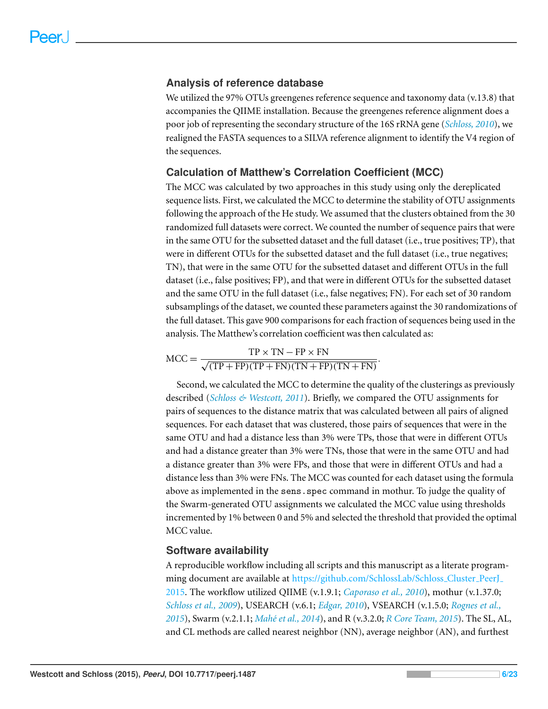#### **Analysis of reference database**

We utilized the 97% OTUs greengenes reference sequence and taxonomy data (v.13.8) that accompanies the QIIME installation. Because the greengenes reference alignment does a poor job of representing the secondary structure of the 16S rRNA gene (*[Schloss,](#page-21-4) [2010](#page-21-4)*), we realigned the FASTA sequences to a SILVA reference alignment to identify the V4 region of the sequences.

#### **Calculation of Matthew's Correlation Coefficient (MCC)**

The MCC was calculated by two approaches in this study using only the dereplicated sequence lists. First, we calculated the MCC to determine the stability of OTU assignments following the approach of the He study. We assumed that the clusters obtained from the 30 randomized full datasets were correct. We counted the number of sequence pairs that were in the same OTU for the subsetted dataset and the full dataset (i.e., true positives; TP), that were in different OTUs for the subsetted dataset and the full dataset (i.e., true negatives; TN), that were in the same OTU for the subsetted dataset and different OTUs in the full dataset (i.e., false positives; FP), and that were in different OTUs for the subsetted dataset and the same OTU in the full dataset (i.e., false negatives; FN). For each set of 30 random subsamplings of the dataset, we counted these parameters against the 30 randomizations of the full dataset. This gave 900 comparisons for each fraction of sequences being used in the analysis. The Matthew's correlation coefficient was then calculated as:

$$
MCC = \frac{TP \times TN - FP \times FN}{\sqrt{(TP + FP)(TP + FN)(TN + FP)(TN + FN)}}.
$$

Second, we calculated the MCC to determine the quality of the clusterings as previously described (*[Schloss](#page-21-0) [&](#page-21-0) [Westcott,](#page-21-0) [2011](#page-21-0)*). Briefly, we compared the OTU assignments for pairs of sequences to the distance matrix that was calculated between all pairs of aligned sequences. For each dataset that was clustered, those pairs of sequences that were in the same OTU and had a distance less than 3% were TPs, those that were in different OTUs and had a distance greater than 3% were TNs, those that were in the same OTU and had a distance greater than 3% were FPs, and those that were in different OTUs and had a distance less than 3% were FNs. The MCC was counted for each dataset using the formula above as implemented in the sens.spec command in mothur. To judge the quality of the Swarm-generated OTU assignments we calculated the MCC value using thresholds incremented by 1% between 0 and 5% and selected the threshold that provided the optimal MCC value.

#### **Software availability**

A reproducible workflow including all scripts and this manuscript as a literate programming document are available at [https://github.com/SchlossLab/Schloss](https://github.com/SchlossLab/Schloss_Cluster_PeerJ_2015)\_[Cluster](https://github.com/SchlossLab/Schloss_Cluster_PeerJ_2015)\_[PeerJ](https://github.com/SchlossLab/Schloss_Cluster_PeerJ_2015)\_ [2015.](https://github.com/SchlossLab/Schloss_Cluster_PeerJ_2015) The workflow utilized QIIME (v.1.9.1; *[Caporaso](#page-19-2) [et](#page-19-2) [al.,](#page-19-2) [2010](#page-19-2)*), mothur (v.1.37.0; *[Schloss](#page-21-2) [et](#page-21-2) [al.,](#page-21-2) [2009](#page-21-2)*), USEARCH (v.6.1; *[Edgar,](#page-19-3) [2010](#page-19-3)*), VSEARCH (v.1.5.0; *[Rognes](#page-21-10) [et](#page-21-10) [al.,](#page-21-10) [2015](#page-21-10)*), Swarm (v.2.1.1; *[Mah´e](#page-20-0) [et](#page-20-0) [al.,](#page-20-0) [2014](#page-20-0)*), and R (v.3.2.0; *[R](#page-21-11) [Core](#page-21-11) [Team,](#page-21-11) [2015](#page-21-11)*). The SL, AL, and CL methods are called nearest neighbor (NN), average neighbor (AN), and furthest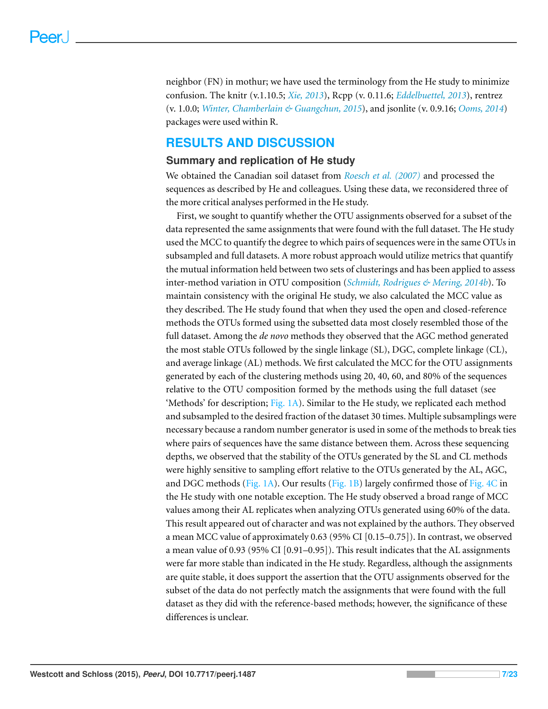neighbor (FN) in mothur; we have used the terminology from the He study to minimize confusion. The knitr (v.1.10.5; *[Xie,](#page-22-3) [2013](#page-22-3)*), Rcpp (v. 0.11.6; *[Eddelbuettel,](#page-19-10) [2013](#page-19-10)*), rentrez (v. 1.0.0; *[Winter,](#page-22-4) [Chamberlain](#page-22-4) [&](#page-22-4) [Guangchun,](#page-22-4) [2015](#page-22-4)*), and jsonlite (v. 0.9.16; *[Ooms,](#page-20-9) [2014](#page-20-9)*) packages were used within R.

### **RESULTS AND DISCUSSION**

#### **Summary and replication of He study**

We obtained the Canadian soil dataset from *[Roesch](#page-21-12) [et](#page-21-12) [al.](#page-21-12) [\(2007\)](#page-21-12)* and processed the sequences as described by He and colleagues. Using these data, we reconsidered three of the more critical analyses performed in the He study.

First, we sought to quantify whether the OTU assignments observed for a subset of the data represented the same assignments that were found with the full dataset. The He study used the MCC to quantify the degree to which pairs of sequences were in the same OTUs in subsampled and full datasets. A more robust approach would utilize metrics that quantify the mutual information held between two sets of clusterings and has been applied to assess inter-method variation in OTU composition (*[Schmidt,](#page-21-7) [Rodrigues](#page-21-7) [&](#page-21-7) [Mering,](#page-21-7) [2014b](#page-21-7)*). To maintain consistency with the original He study, we also calculated the MCC value as they described. The He study found that when they used the open and closed-reference methods the OTUs formed using the subsetted data most closely resembled those of the full dataset. Among the *de novo* methods they observed that the AGC method generated the most stable OTUs followed by the single linkage (SL), DGC, complete linkage (CL), and average linkage (AL) methods. We first calculated the MCC for the OTU assignments generated by each of the clustering methods using 20, 40, 60, and 80% of the sequences relative to the OTU composition formed by the methods using the full dataset (see 'Methods' for description; [Fig. 1A\)](#page-7-0). Similar to the He study, we replicated each method and subsampled to the desired fraction of the dataset 30 times. Multiple subsamplings were necessary because a random number generator is used in some of the methods to break ties where pairs of sequences have the same distance between them. Across these sequencing depths, we observed that the stability of the OTUs generated by the SL and CL methods were highly sensitive to sampling effort relative to the OTUs generated by the AL, AGC, and DGC methods [\(Fig. 1A\)](#page-7-0). Our results [\(Fig. 1B\)](#page-7-0) largely confirmed those of [Fig. 4C](#page-12-0) in the He study with one notable exception. The He study observed a broad range of MCC values among their AL replicates when analyzing OTUs generated using 60% of the data. This result appeared out of character and was not explained by the authors. They observed a mean MCC value of approximately 0.63 (95% CI [0.15–0.75]). In contrast, we observed a mean value of 0.93 (95% CI [0.91–0.95]). This result indicates that the AL assignments were far more stable than indicated in the He study. Regardless, although the assignments are quite stable, it does support the assertion that the OTU assignments observed for the subset of the data do not perfectly match the assignments that were found with the full dataset as they did with the reference-based methods; however, the significance of these differences is unclear.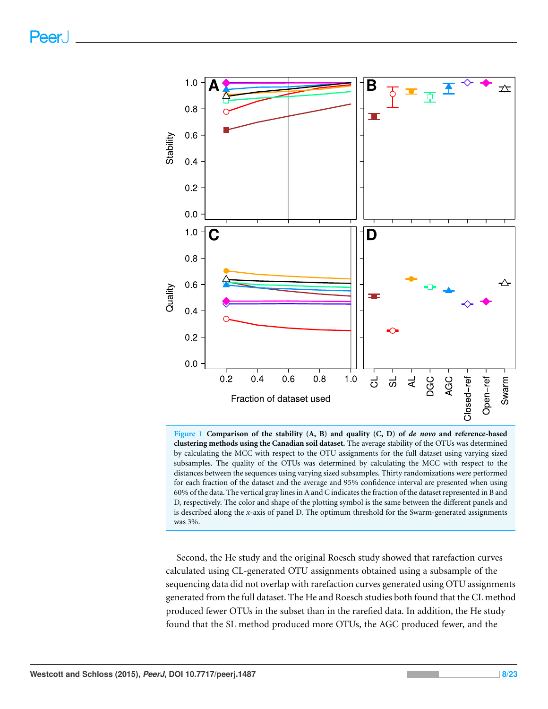<span id="page-7-0"></span>



Second, the He study and the original Roesch study showed that rarefaction curves calculated using CL-generated OTU assignments obtained using a subsample of the sequencing data did not overlap with rarefaction curves generated using OTU assignments generated from the full dataset. The He and Roesch studies both found that the CL method produced fewer OTUs in the subset than in the rarefied data. In addition, the He study found that the SL method produced more OTUs, the AGC produced fewer, and the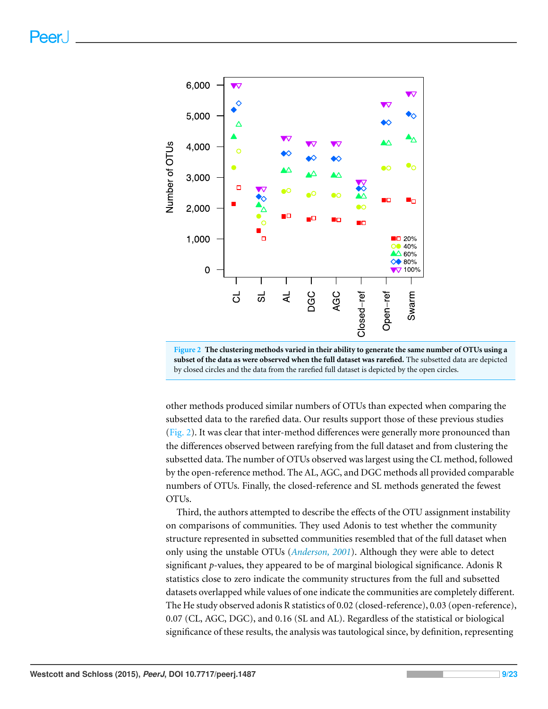<span id="page-8-0"></span>

**Figure 2 The clustering methods varied in their ability to generate the same number of OTUs using a subset of the data as were observed when the full dataset was rarefied.** The subsetted data are depicted by closed circles and the data from the rarefied full dataset is depicted by the open circles.

other methods produced similar numbers of OTUs than expected when comparing the subsetted data to the rarefied data. Our results support those of these previous studies [\(Fig. 2\)](#page-8-0). It was clear that inter-method differences were generally more pronounced than the differences observed between rarefying from the full dataset and from clustering the subsetted data. The number of OTUs observed was largest using the CL method, followed by the open-reference method. The AL, AGC, and DGC methods all provided comparable numbers of OTUs. Finally, the closed-reference and SL methods generated the fewest OTUs.

Third, the authors attempted to describe the effects of the OTU assignment instability on comparisons of communities. They used Adonis to test whether the community structure represented in subsetted communities resembled that of the full dataset when only using the unstable OTUs (*[Anderson,](#page-18-3) [2001](#page-18-3)*). Although they were able to detect significant *p*-values, they appeared to be of marginal biological significance. Adonis R statistics close to zero indicate the community structures from the full and subsetted datasets overlapped while values of one indicate the communities are completely different. The He study observed adonis R statistics of 0.02 (closed-reference), 0.03 (open-reference), 0.07 (CL, AGC, DGC), and 0.16 (SL and AL). Regardless of the statistical or biological significance of these results, the analysis was tautological since, by definition, representing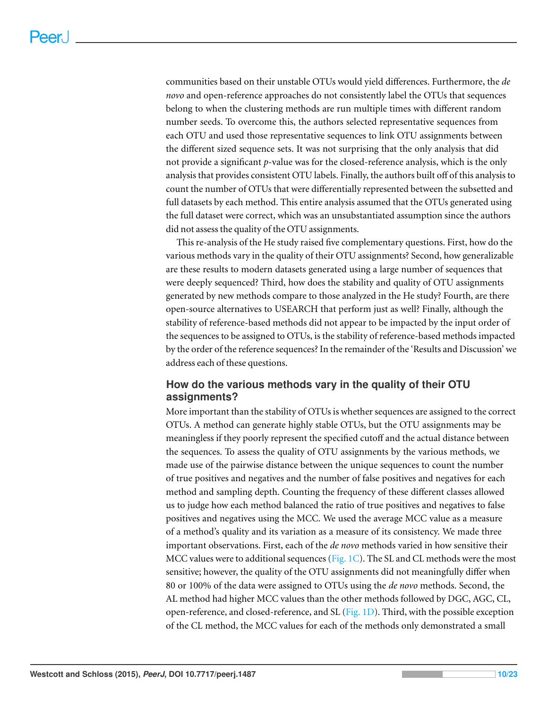communities based on their unstable OTUs would yield differences. Furthermore, the *de novo* and open-reference approaches do not consistently label the OTUs that sequences belong to when the clustering methods are run multiple times with different random number seeds. To overcome this, the authors selected representative sequences from each OTU and used those representative sequences to link OTU assignments between the different sized sequence sets. It was not surprising that the only analysis that did not provide a significant *p*-value was for the closed-reference analysis, which is the only analysis that provides consistent OTU labels. Finally, the authors built off of this analysis to count the number of OTUs that were differentially represented between the subsetted and full datasets by each method. This entire analysis assumed that the OTUs generated using the full dataset were correct, which was an unsubstantiated assumption since the authors did not assess the quality of the OTU assignments.

This re-analysis of the He study raised five complementary questions. First, how do the various methods vary in the quality of their OTU assignments? Second, how generalizable are these results to modern datasets generated using a large number of sequences that were deeply sequenced? Third, how does the stability and quality of OTU assignments generated by new methods compare to those analyzed in the He study? Fourth, are there open-source alternatives to USEARCH that perform just as well? Finally, although the stability of reference-based methods did not appear to be impacted by the input order of the sequences to be assigned to OTUs, is the stability of reference-based methods impacted by the order of the reference sequences? In the remainder of the 'Results and Discussion' we address each of these questions.

#### **How do the various methods vary in the quality of their OTU assignments?**

More important than the stability of OTUs is whether sequences are assigned to the correct OTUs. A method can generate highly stable OTUs, but the OTU assignments may be meaningless if they poorly represent the specified cutoff and the actual distance between the sequences. To assess the quality of OTU assignments by the various methods, we made use of the pairwise distance between the unique sequences to count the number of true positives and negatives and the number of false positives and negatives for each method and sampling depth. Counting the frequency of these different classes allowed us to judge how each method balanced the ratio of true positives and negatives to false positives and negatives using the MCC. We used the average MCC value as a measure of a method's quality and its variation as a measure of its consistency. We made three important observations. First, each of the *de novo* methods varied in how sensitive their MCC values were to additional sequences [\(Fig. 1C\)](#page-7-0). The SL and CL methods were the most sensitive; however, the quality of the OTU assignments did not meaningfully differ when 80 or 100% of the data were assigned to OTUs using the *de novo* methods. Second, the AL method had higher MCC values than the other methods followed by DGC, AGC, CL, open-reference, and closed-reference, and SL [\(Fig. 1D\)](#page-7-0). Third, with the possible exception of the CL method, the MCC values for each of the methods only demonstrated a small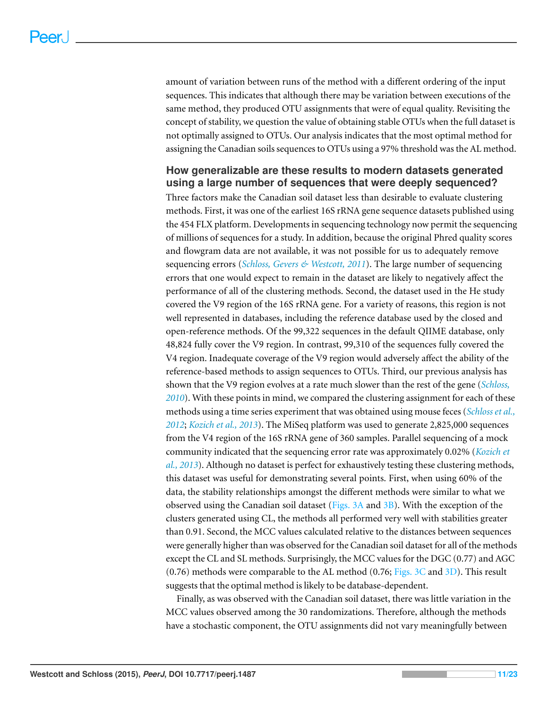amount of variation between runs of the method with a different ordering of the input sequences. This indicates that although there may be variation between executions of the same method, they produced OTU assignments that were of equal quality. Revisiting the concept of stability, we question the value of obtaining stable OTUs when the full dataset is not optimally assigned to OTUs. Our analysis indicates that the most optimal method for assigning the Canadian soils sequences to OTUs using a 97% threshold was the AL method.

#### **How generalizable are these results to modern datasets generated using a large number of sequences that were deeply sequenced?**

Three factors make the Canadian soil dataset less than desirable to evaluate clustering methods. First, it was one of the earliest 16S rRNA gene sequence datasets published using the 454 FLX platform. Developments in sequencing technology now permit the sequencing of millions of sequences for a study. In addition, because the original Phred quality scores and flowgram data are not available, it was not possible for us to adequately remove sequencing errors (*[Schloss,](#page-21-6) [Gevers](#page-21-6) [&](#page-21-6) [Westcott,](#page-21-6) [2011](#page-21-6)*). The large number of sequencing errors that one would expect to remain in the dataset are likely to negatively affect the performance of all of the clustering methods. Second, the dataset used in the He study covered the V9 region of the 16S rRNA gene. For a variety of reasons, this region is not well represented in databases, including the reference database used by the closed and open-reference methods. Of the 99,322 sequences in the default QIIME database, only 48,824 fully cover the V9 region. In contrast, 99,310 of the sequences fully covered the V4 region. Inadequate coverage of the V9 region would adversely affect the ability of the reference-based methods to assign sequences to OTUs. Third, our previous analysis has shown that the V9 region evolves at a rate much slower than the rest of the gene (*[Schloss,](#page-21-4) [2010](#page-21-4)*). With these points in mind, we compared the clustering assignment for each of these methods using a time series experiment that was obtained using mouse feces (*[Schlosset](#page-21-13) [al.,](#page-21-13) [2012](#page-21-13)*; *[Kozich](#page-20-3) [et](#page-20-3) [al.,](#page-20-3) [2013](#page-20-3)*). The MiSeq platform was used to generate 2,825,000 sequences from the V4 region of the 16S rRNA gene of 360 samples. Parallel sequencing of a mock community indicated that the sequencing error rate was approximately 0.02% (*[Kozich](#page-20-3) [et](#page-20-3) [al.,](#page-20-3) [2013](#page-20-3)*). Although no dataset is perfect for exhaustively testing these clustering methods, this dataset was useful for demonstrating several points. First, when using 60% of the data, the stability relationships amongst the different methods were similar to what we observed using the Canadian soil dataset [\(Figs. 3A](#page-11-0) and [3B\)](#page-11-0). With the exception of the clusters generated using CL, the methods all performed very well with stabilities greater than 0.91. Second, the MCC values calculated relative to the distances between sequences were generally higher than was observed for the Canadian soil dataset for all of the methods except the CL and SL methods. Surprisingly, the MCC values for the DGC (0.77) and AGC  $(0.76)$  methods were comparable to the AL method  $(0.76; \text{Figs. } 3C \text{ and } 3D)$  $(0.76; \text{Figs. } 3C \text{ and } 3D)$ . This result suggests that the optimal method is likely to be database-dependent.

Finally, as was observed with the Canadian soil dataset, there was little variation in the MCC values observed among the 30 randomizations. Therefore, although the methods have a stochastic component, the OTU assignments did not vary meaningfully between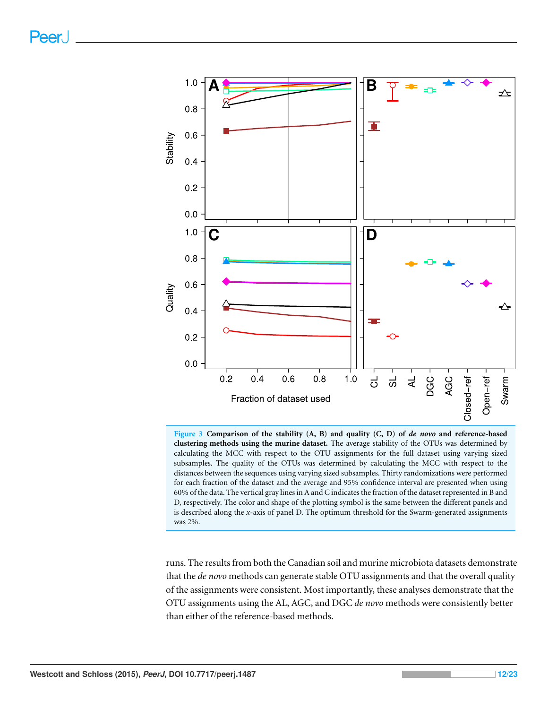<span id="page-11-0"></span>



runs. The results from both the Canadian soil and murine microbiota datasets demonstrate that the *de novo* methods can generate stable OTU assignments and that the overall quality of the assignments were consistent. Most importantly, these analyses demonstrate that the OTU assignments using the AL, AGC, and DGC *de novo* methods were consistently better than either of the reference-based methods.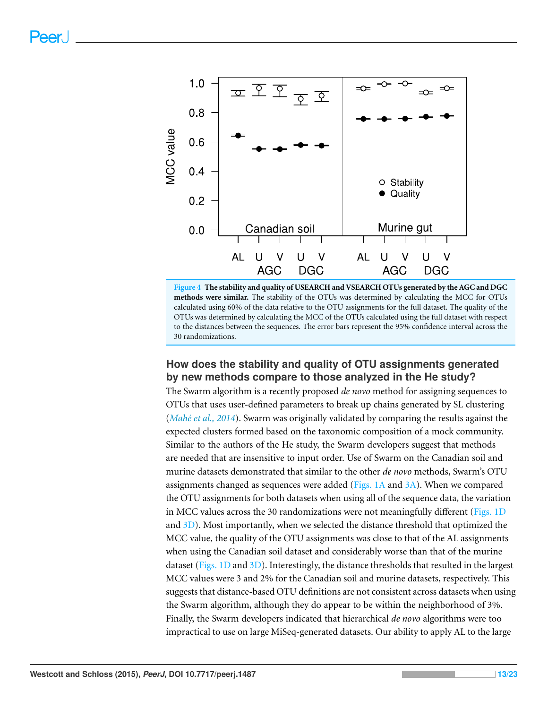<span id="page-12-0"></span>



#### **How does the stability and quality of OTU assignments generated by new methods compare to those analyzed in the He study?**

The Swarm algorithm is a recently proposed *de novo* method for assigning sequences to OTUs that uses user-defined parameters to break up chains generated by SL clustering (*[Mah´e](#page-20-0) [et](#page-20-0) [al.,](#page-20-0) [2014](#page-20-0)*). Swarm was originally validated by comparing the results against the expected clusters formed based on the taxonomic composition of a mock community. Similar to the authors of the He study, the Swarm developers suggest that methods are needed that are insensitive to input order. Use of Swarm on the Canadian soil and murine datasets demonstrated that similar to the other *de novo* methods, Swarm's OTU assignments changed as sequences were added [\(Figs. 1A](#page-7-0) and [3A\)](#page-11-0). When we compared the OTU assignments for both datasets when using all of the sequence data, the variation in MCC values across the 30 randomizations were not meaningfully different [\(Figs. 1D](#page-7-0) and [3D\)](#page-11-0). Most importantly, when we selected the distance threshold that optimized the MCC value, the quality of the OTU assignments was close to that of the AL assignments when using the Canadian soil dataset and considerably worse than that of the murine dataset [\(Figs. 1D](#page-7-0) and [3D\)](#page-11-0). Interestingly, the distance thresholds that resulted in the largest MCC values were 3 and 2% for the Canadian soil and murine datasets, respectively. This suggests that distance-based OTU definitions are not consistent across datasets when using the Swarm algorithm, although they do appear to be within the neighborhood of 3%. Finally, the Swarm developers indicated that hierarchical *de novo* algorithms were too impractical to use on large MiSeq-generated datasets. Our ability to apply AL to the large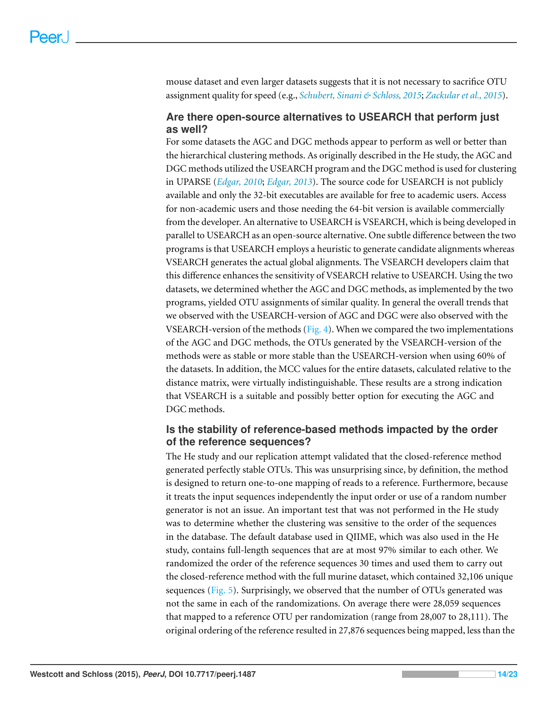mouse dataset and even larger datasets suggests that it is not necessary to sacrifice OTU assignment quality for speed (e.g., *[Schubert,](#page-21-14) [Sinani](#page-21-14) [&](#page-21-14) [Schloss,](#page-21-14) [2015](#page-21-14)*; *[Zackularet](#page-22-5) [al.,](#page-22-5) [2015](#page-22-5)*).

#### **Are there open-source alternatives to USEARCH that perform just as well?**

For some datasets the AGC and DGC methods appear to perform as well or better than the hierarchical clustering methods. As originally described in the He study, the AGC and DGC methods utilized the USEARCH program and the DGC method is used for clustering in UPARSE (*[Edgar,](#page-19-3) [2010](#page-19-3)*; *[Edgar,](#page-19-4) [2013](#page-19-4)*). The source code for USEARCH is not publicly available and only the 32-bit executables are available for free to academic users. Access for non-academic users and those needing the 64-bit version is available commercially from the developer. An alternative to USEARCH is VSEARCH, which is being developed in parallel to USEARCH as an open-source alternative. One subtle difference between the two programs is that USEARCH employs a heuristic to generate candidate alignments whereas VSEARCH generates the actual global alignments. The VSEARCH developers claim that this difference enhances the sensitivity of VSEARCH relative to USEARCH. Using the two datasets, we determined whether the AGC and DGC methods, as implemented by the two programs, yielded OTU assignments of similar quality. In general the overall trends that we observed with the USEARCH-version of AGC and DGC were also observed with the VSEARCH-version of the methods [\(Fig. 4\)](#page-12-0). When we compared the two implementations of the AGC and DGC methods, the OTUs generated by the VSEARCH-version of the methods were as stable or more stable than the USEARCH-version when using 60% of the datasets. In addition, the MCC values for the entire datasets, calculated relative to the distance matrix, were virtually indistinguishable. These results are a strong indication that VSEARCH is a suitable and possibly better option for executing the AGC and DGC methods.

#### **Is the stability of reference-based methods impacted by the order of the reference sequences?**

The He study and our replication attempt validated that the closed-reference method generated perfectly stable OTUs. This was unsurprising since, by definition, the method is designed to return one-to-one mapping of reads to a reference. Furthermore, because it treats the input sequences independently the input order or use of a random number generator is not an issue. An important test that was not performed in the He study was to determine whether the clustering was sensitive to the order of the sequences in the database. The default database used in QIIME, which was also used in the He study, contains full-length sequences that are at most 97% similar to each other. We randomized the order of the reference sequences 30 times and used them to carry out the closed-reference method with the full murine dataset, which contained 32,106 unique sequences ( $Fig. 5$ ). Surprisingly, we observed that the number of OTUs generated was not the same in each of the randomizations. On average there were 28,059 sequences that mapped to a reference OTU per randomization (range from 28,007 to 28,111). The original ordering of the reference resulted in 27,876 sequences being mapped, less than the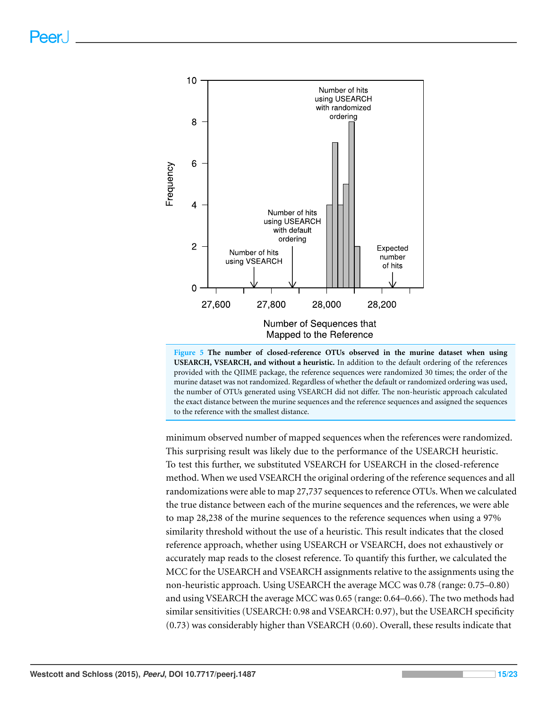<span id="page-14-0"></span>



minimum observed number of mapped sequences when the references were randomized. This surprising result was likely due to the performance of the USEARCH heuristic. To test this further, we substituted VSEARCH for USEARCH in the closed-reference method. When we used VSEARCH the original ordering of the reference sequences and all randomizations were able to map 27,737 sequences to reference OTUs. When we calculated the true distance between each of the murine sequences and the references, we were able to map 28,238 of the murine sequences to the reference sequences when using a 97% similarity threshold without the use of a heuristic. This result indicates that the closed reference approach, whether using USEARCH or VSEARCH, does not exhaustively or accurately map reads to the closest reference. To quantify this further, we calculated the MCC for the USEARCH and VSEARCH assignments relative to the assignments using the non-heuristic approach. Using USEARCH the average MCC was 0.78 (range: 0.75–0.80) and using VSEARCH the average MCC was 0.65 (range: 0.64–0.66). The two methods had similar sensitivities (USEARCH: 0.98 and VSEARCH: 0.97), but the USEARCH specificity (0.73) was considerably higher than VSEARCH (0.60). Overall, these results indicate that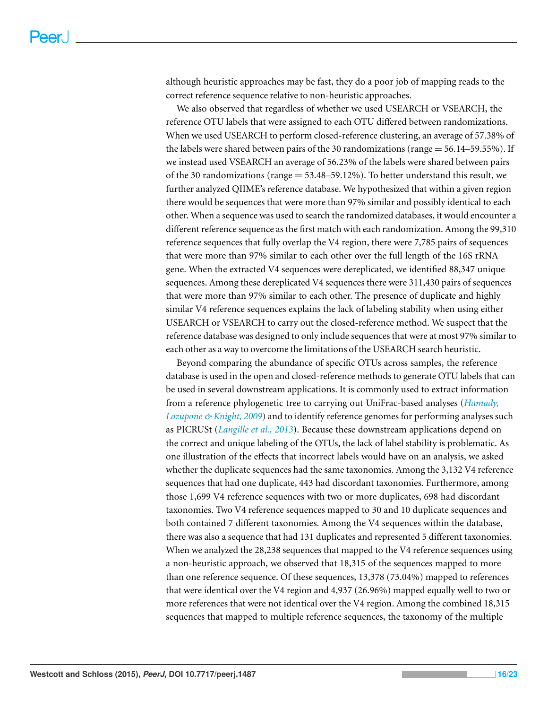although heuristic approaches may be fast, they do a poor job of mapping reads to the correct reference sequence relative to non-heuristic approaches.

We also observed that regardless of whether we used USEARCH or VSEARCH, the reference OTU labels that were assigned to each OTU differed between randomizations. When we used USEARCH to perform closed-reference clustering, an average of 57.38% of the labels were shared between pairs of the 30 randomizations (range  $= 56.14 - 59.55\%$ ). If we instead used VSEARCH an average of 56.23% of the labels were shared between pairs of the 30 randomizations (range  $=$  53.48–59.12%). To better understand this result, we further analyzed QIIME's reference database. We hypothesized that within a given region there would be sequences that were more than 97% similar and possibly identical to each other. When a sequence was used to search the randomized databases, it would encounter a different reference sequence as the first match with each randomization. Among the 99,310 reference sequences that fully overlap the V4 region, there were 7,785 pairs of sequences that were more than 97% similar to each other over the full length of the 16S rRNA gene. When the extracted V4 sequences were dereplicated, we identified 88,347 unique sequences. Among these dereplicated V4 sequences there were 311,430 pairs of sequences that were more than 97% similar to each other. The presence of duplicate and highly similar V4 reference sequences explains the lack of labeling stability when using either USEARCH or VSEARCH to carry out the closed-reference method. We suspect that the reference database was designed to only include sequences that were at most 97% similar to each other as a way to overcome the limitations of the USEARCH search heuristic.

Beyond comparing the abundance of specific OTUs across samples, the reference database is used in the open and closed-reference methods to generate OTU labels that can be used in several downstream applications. It is commonly used to extract information from a reference phylogenetic tree to carrying out UniFrac-based analyses (*[Hamady,](#page-19-11) [Lozupone](#page-19-11) [&](#page-19-11) [Knight,](#page-19-11) [2009](#page-19-11)*) and to identify reference genomes for performing analyses such as PICRUSt (*[Langille](#page-20-10) [et](#page-20-10) [al.,](#page-20-10) [2013](#page-20-10)*). Because these downstream applications depend on the correct and unique labeling of the OTUs, the lack of label stability is problematic. As one illustration of the effects that incorrect labels would have on an analysis, we asked whether the duplicate sequences had the same taxonomies. Among the 3,132 V4 reference sequences that had one duplicate, 443 had discordant taxonomies. Furthermore, among those 1,699 V4 reference sequences with two or more duplicates, 698 had discordant taxonomies. Two V4 reference sequences mapped to 30 and 10 duplicate sequences and both contained 7 different taxonomies. Among the V4 sequences within the database, there was also a sequence that had 131 duplicates and represented 5 different taxonomies. When we analyzed the 28,238 sequences that mapped to the V4 reference sequences using a non-heuristic approach, we observed that 18,315 of the sequences mapped to more than one reference sequence. Of these sequences, 13,378 (73.04%) mapped to references that were identical over the V4 region and 4,937 (26.96%) mapped equally well to two or more references that were not identical over the V4 region. Among the combined 18,315 sequences that mapped to multiple reference sequences, the taxonomy of the multiple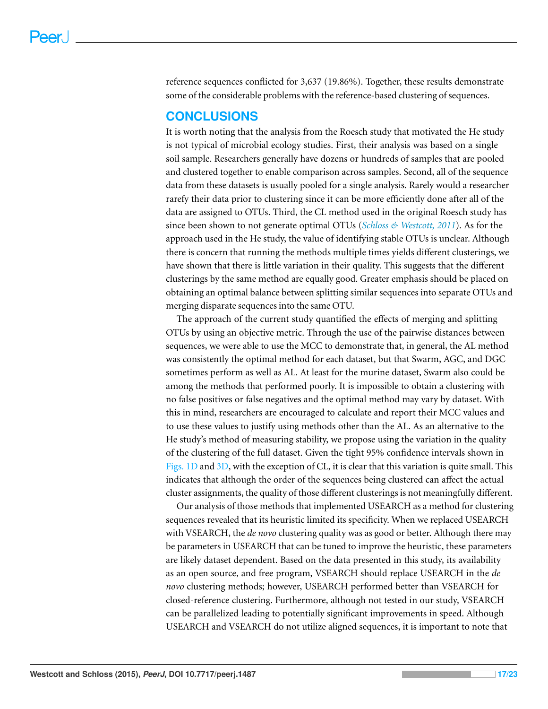reference sequences conflicted for 3,637 (19.86%). Together, these results demonstrate some of the considerable problems with the reference-based clustering of sequences.

#### **CONCLUSIONS**

It is worth noting that the analysis from the Roesch study that motivated the He study is not typical of microbial ecology studies. First, their analysis was based on a single soil sample. Researchers generally have dozens or hundreds of samples that are pooled and clustered together to enable comparison across samples. Second, all of the sequence data from these datasets is usually pooled for a single analysis. Rarely would a researcher rarefy their data prior to clustering since it can be more efficiently done after all of the data are assigned to OTUs. Third, the CL method used in the original Roesch study has since been shown to not generate optimal OTUs (*[Schloss](#page-21-0) [&](#page-21-0) [Westcott,](#page-21-0) [2011](#page-21-0)*). As for the approach used in the He study, the value of identifying stable OTUs is unclear. Although there is concern that running the methods multiple times yields different clusterings, we have shown that there is little variation in their quality. This suggests that the different clusterings by the same method are equally good. Greater emphasis should be placed on obtaining an optimal balance between splitting similar sequences into separate OTUs and merging disparate sequences into the same OTU.

The approach of the current study quantified the effects of merging and splitting OTUs by using an objective metric. Through the use of the pairwise distances between sequences, we were able to use the MCC to demonstrate that, in general, the AL method was consistently the optimal method for each dataset, but that Swarm, AGC, and DGC sometimes perform as well as AL. At least for the murine dataset, Swarm also could be among the methods that performed poorly. It is impossible to obtain a clustering with no false positives or false negatives and the optimal method may vary by dataset. With this in mind, researchers are encouraged to calculate and report their MCC values and to use these values to justify using methods other than the AL. As an alternative to the He study's method of measuring stability, we propose using the variation in the quality of the clustering of the full dataset. Given the tight 95% confidence intervals shown in [Figs. 1D](#page-7-0) and [3D,](#page-11-0) with the exception of CL, it is clear that this variation is quite small. This indicates that although the order of the sequences being clustered can affect the actual cluster assignments, the quality of those different clusterings is not meaningfully different.

Our analysis of those methods that implemented USEARCH as a method for clustering sequences revealed that its heuristic limited its specificity. When we replaced USEARCH with VSEARCH, the *de novo* clustering quality was as good or better. Although there may be parameters in USEARCH that can be tuned to improve the heuristic, these parameters are likely dataset dependent. Based on the data presented in this study, its availability as an open source, and free program, VSEARCH should replace USEARCH in the *de novo* clustering methods; however, USEARCH performed better than VSEARCH for closed-reference clustering. Furthermore, although not tested in our study, VSEARCH can be parallelized leading to potentially significant improvements in speed. Although USEARCH and VSEARCH do not utilize aligned sequences, it is important to note that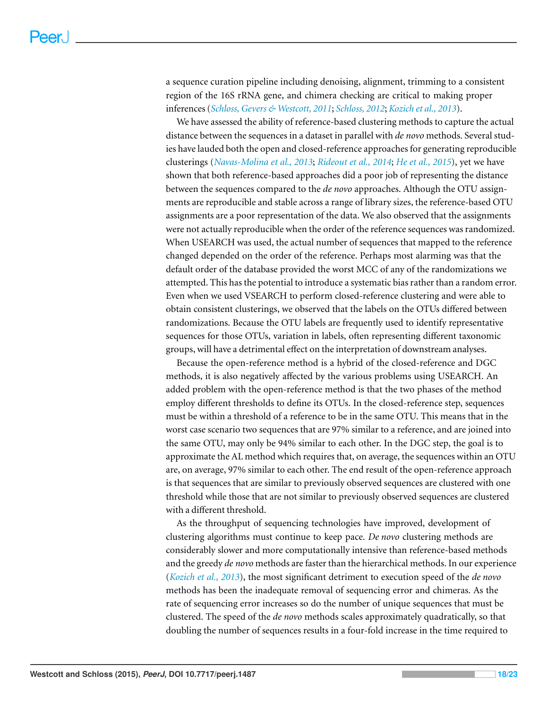a sequence curation pipeline including denoising, alignment, trimming to a consistent region of the 16S rRNA gene, and chimera checking are critical to making proper inferences (*[Schloss,](#page-21-6) [Gevers](#page-21-6) [&](#page-21-6) [Westcott,](#page-21-6) [2011](#page-21-6)*; *[Schloss,](#page-21-9) [2012](#page-21-9)*; *[Kozich](#page-20-3) [et](#page-20-3) [al.,](#page-20-3) [2013](#page-20-3)*).

We have assessed the ability of reference-based clustering methods to capture the actual distance between the sequences in a dataset in parallel with *de novo* methods. Several studies have lauded both the open and closed-reference approaches for generating reproducible clusterings (*[Navas-Molina](#page-20-1) [et](#page-20-1) [al.,](#page-20-1) [2013](#page-20-1)*; *[Rideout](#page-21-5) [et](#page-21-5) [al.,](#page-21-5) [2014](#page-21-5)*; *[He](#page-19-6) [et](#page-19-6) [al.,](#page-19-6) [2015](#page-19-6)*), yet we have shown that both reference-based approaches did a poor job of representing the distance between the sequences compared to the *de novo* approaches. Although the OTU assignments are reproducible and stable across a range of library sizes, the reference-based OTU assignments are a poor representation of the data. We also observed that the assignments were not actually reproducible when the order of the reference sequences was randomized. When USEARCH was used, the actual number of sequences that mapped to the reference changed depended on the order of the reference. Perhaps most alarming was that the default order of the database provided the worst MCC of any of the randomizations we attempted. This has the potential to introduce a systematic bias rather than a random error. Even when we used VSEARCH to perform closed-reference clustering and were able to obtain consistent clusterings, we observed that the labels on the OTUs differed between randomizations. Because the OTU labels are frequently used to identify representative sequences for those OTUs, variation in labels, often representing different taxonomic groups, will have a detrimental effect on the interpretation of downstream analyses.

Because the open-reference method is a hybrid of the closed-reference and DGC methods, it is also negatively affected by the various problems using USEARCH. An added problem with the open-reference method is that the two phases of the method employ different thresholds to define its OTUs. In the closed-reference step, sequences must be within a threshold of a reference to be in the same OTU. This means that in the worst case scenario two sequences that are 97% similar to a reference, and are joined into the same OTU, may only be 94% similar to each other. In the DGC step, the goal is to approximate the AL method which requires that, on average, the sequences within an OTU are, on average, 97% similar to each other. The end result of the open-reference approach is that sequences that are similar to previously observed sequences are clustered with one threshold while those that are not similar to previously observed sequences are clustered with a different threshold.

As the throughput of sequencing technologies have improved, development of clustering algorithms must continue to keep pace. *De novo* clustering methods are considerably slower and more computationally intensive than reference-based methods and the greedy *de novo* methods are faster than the hierarchical methods. In our experience (*[Kozich](#page-20-3) [et](#page-20-3) [al.,](#page-20-3) [2013](#page-20-3)*), the most significant detriment to execution speed of the *de novo* methods has been the inadequate removal of sequencing error and chimeras. As the rate of sequencing error increases so do the number of unique sequences that must be clustered. The speed of the *de novo* methods scales approximately quadratically, so that doubling the number of sequences results in a four-fold increase in the time required to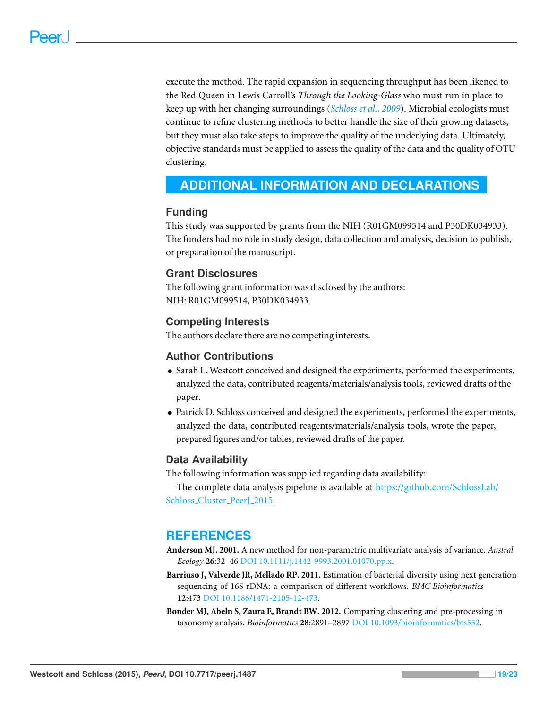execute the method. The rapid expansion in sequencing throughput has been likened to the Red Queen in Lewis Carroll's *Through the Looking-Glass* who must run in place to keep up with her changing surroundings (*[Schloss](#page-21-2) [et](#page-21-2) [al.,](#page-21-2) [2009](#page-21-2)*). Microbial ecologists must continue to refine clustering methods to better handle the size of their growing datasets, but they must also take steps to improve the quality of the underlying data. Ultimately, objective standards must be applied to assess the quality of the data and the quality of OTU clustering.

# <span id="page-18-0"></span>**ADDITIONAL INFORMATION AND DECLARATIONS**

#### **Funding**

This study was supported by grants from the NIH (R01GM099514 and P30DK034933). The funders had no role in study design, data collection and analysis, decision to publish, or preparation of the manuscript.

#### **Grant Disclosures**

The following grant information was disclosed by the authors: NIH: R01GM099514, P30DK034933.

#### **Competing Interests**

The authors declare there are no competing interests.

#### **Author Contributions**

- Sarah L. Westcott conceived and designed the experiments, performed the experiments, analyzed the data, contributed reagents/materials/analysis tools, reviewed drafts of the paper.
- Patrick D. Schloss conceived and designed the experiments, performed the experiments, analyzed the data, contributed reagents/materials/analysis tools, wrote the paper, prepared figures and/or tables, reviewed drafts of the paper.

#### **Data Availability**

The following information was supplied regarding data availability:

The complete data analysis pipeline is available at [https://github.com/SchlossLab/](https://github.com/SchlossLab/Schloss_Cluster_PeerJ_2015) [Schloss](https://github.com/SchlossLab/Schloss_Cluster_PeerJ_2015)\_[Cluster](https://github.com/SchlossLab/Schloss_Cluster_PeerJ_2015)\_[PeerJ](https://github.com/SchlossLab/Schloss_Cluster_PeerJ_2015)\_[2015.](https://github.com/SchlossLab/Schloss_Cluster_PeerJ_2015)

# **REFERENCES**

- <span id="page-18-3"></span>**Anderson MJ. 2001.** A new method for non-parametric multivariate analysis of variance. *Austral Ecology* **26**:32–46 DOI [10.1111/j.1442-9993.2001.01070.pp.x.](http://dx.doi.org/10.1111/j.1442-9993.2001.01070.pp.x)
- <span id="page-18-1"></span>**Barriuso J, Valverde JR, Mellado RP. 2011.** Estimation of bacterial diversity using next generation sequencing of 16S rDNA: a comparison of different workflows. *BMC Bioinformatics* **12**:473 DOI [10.1186/1471-2105-12-473.](http://dx.doi.org/10.1186/1471-2105-12-473)
- <span id="page-18-2"></span>**Bonder MJ, Abeln S, Zaura E, Brandt BW. 2012.** Comparing clustering and pre-processing in taxonomy analysis. *Bioinformatics* **28**:2891–2897 DOI [10.1093/bioinformatics/bts552.](http://dx.doi.org/10.1093/bioinformatics/bts552)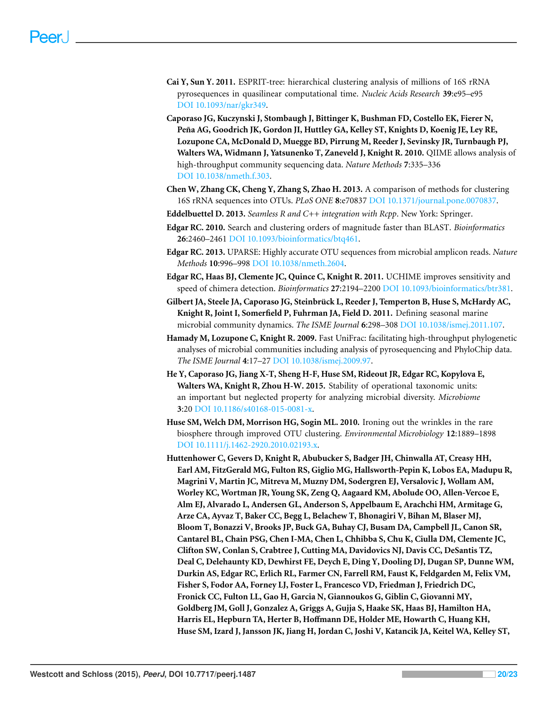- <span id="page-19-5"></span>**Cai Y, Sun Y. 2011.** ESPRIT-tree: hierarchical clustering analysis of millions of 16S rRNA pyrosequences in quasilinear computational time. *Nucleic Acids Research* **39**:e95–e95 DOI [10.1093/nar/gkr349.](http://dx.doi.org/10.1093/nar/gkr349)
- <span id="page-19-2"></span>**Caporaso JG, Kuczynski J, Stombaugh J, Bittinger K, Bushman FD, Costello EK, Fierer N, Pena AG, Goodrich JK, Gordon JI, Huttley GA, Kelley ST, Knights D, Koenig JE, Ley RE, ˜ Lozupone CA, McDonald D, Muegge BD, Pirrung M, Reeder J, Sevinsky JR, Turnbaugh PJ, Walters WA, Widmann J, Yatsunenko T, Zaneveld J, Knight R. 2010.** QIIME allows analysis of high-throughput community sequencing data. *Nature Methods* **7**:335–336 DOI [10.1038/nmeth.f.303.](http://dx.doi.org/10.1038/nmeth.f.303)
- <span id="page-19-8"></span>**Chen W, Zhang CK, Cheng Y, Zhang S, Zhao H. 2013.** A comparison of methods for clustering 16S rRNA sequences into OTUs. *PLoS ONE* **8**:e70837 DOI [10.1371/journal.pone.0070837.](http://dx.doi.org/10.1371/journal.pone.0070837)
- <span id="page-19-10"></span>**Eddelbuettel D. 2013.** *Seamless R and C++ integration with Rcpp*. New York: Springer.
- <span id="page-19-3"></span>**Edgar RC. 2010.** Search and clustering orders of magnitude faster than BLAST. *Bioinformatics* **26**:2460–2461 DOI [10.1093/bioinformatics/btq461.](http://dx.doi.org/10.1093/bioinformatics/btq461)
- <span id="page-19-4"></span>**Edgar RC. 2013.** UPARSE: Highly accurate OTU sequences from microbial amplicon reads. *Nature Methods* **10**:996–998 DOI [10.1038/nmeth.2604.](http://dx.doi.org/10.1038/nmeth.2604)
- <span id="page-19-9"></span>**Edgar RC, Haas BJ, Clemente JC, Quince C, Knight R. 2011.** UCHIME improves sensitivity and speed of chimera detection. *Bioinformatics* **27**:2194–2200 DOI [10.1093/bioinformatics/btr381.](http://dx.doi.org/10.1093/bioinformatics/btr381)
- <span id="page-19-1"></span>**Gilbert JA, Steele JA, Caporaso JG, Steinbruck L, Reeder J, Temperton B, Huse S, McHardy AC, ¨ Knight R, Joint I, Somerfield P, Fuhrman JA, Field D. 2011.** Defining seasonal marine microbial community dynamics. *The ISME Journal* **6**:298–308 DOI [10.1038/ismej.2011.107.](http://dx.doi.org/10.1038/ismej.2011.107)
- <span id="page-19-11"></span>**Hamady M, Lozupone C, Knight R. 2009.** Fast UniFrac: facilitating high-throughput phylogenetic analyses of microbial communities including analysis of pyrosequencing and PhyloChip data. *The ISME Journal* **4**:17–27 DOI [10.1038/ismej.2009.97.](http://dx.doi.org/10.1038/ismej.2009.97)
- <span id="page-19-6"></span>**He Y, Caporaso JG, Jiang X-T, Sheng H-F, Huse SM, Rideout JR, Edgar RC, Kopylova E, Walters WA, Knight R, Zhou H-W. 2015.** Stability of operational taxonomic units: an important but neglected property for analyzing microbial diversity. *Microbiome* **3**:20 DOI [10.1186/s40168-015-0081-x.](http://dx.doi.org/10.1186/s40168-015-0081-x)
- <span id="page-19-7"></span>**Huse SM, Welch DM, Morrison HG, Sogin ML. 2010.** Ironing out the wrinkles in the rare biosphere through improved OTU clustering. *Environmental Microbiology* **12**:1889–1898 DOI [10.1111/j.1462-2920.2010.02193.x.](http://dx.doi.org/10.1111/j.1462-2920.2010.02193.x)
- <span id="page-19-0"></span>**Huttenhower C, Gevers D, Knight R, Abubucker S, Badger JH, Chinwalla AT, Creasy HH, Earl AM, FitzGerald MG, Fulton RS, Giglio MG, Hallsworth-Pepin K, Lobos EA, Madupu R, Magrini V, Martin JC, Mitreva M, Muzny DM, Sodergren EJ, Versalovic J, Wollam AM, Worley KC, Wortman JR, Young SK, Zeng Q, Aagaard KM, Abolude OO, Allen-Vercoe E, Alm EJ, Alvarado L, Andersen GL, Anderson S, Appelbaum E, Arachchi HM, Armitage G, Arze CA, Ayvaz T, Baker CC, Begg L, Belachew T, Bhonagiri V, Bihan M, Blaser MJ, Bloom T, Bonazzi V, Brooks JP, Buck GA, Buhay CJ, Busam DA, Campbell JL, Canon SR, Cantarel BL, Chain PSG, Chen I-MA, Chen L, Chhibba S, Chu K, Ciulla DM, Clemente JC, Clifton SW, Conlan S, Crabtree J, Cutting MA, Davidovics NJ, Davis CC, DeSantis TZ, Deal C, Delehaunty KD, Dewhirst FE, Deych E, Ding Y, Dooling DJ, Dugan SP, Dunne WM, Durkin AS, Edgar RC, Erlich RL, Farmer CN, Farrell RM, Faust K, Feldgarden M, Felix VM, Fisher S, Fodor AA, Forney LJ, Foster L, Francesco VD, Friedman J, Friedrich DC, Fronick CC, Fulton LL, Gao H, Garcia N, Giannoukos G, Giblin C, Giovanni MY, Goldberg JM, Goll J, Gonzalez A, Griggs A, Gujja S, Haake SK, Haas BJ, Hamilton HA, Harris EL, Hepburn TA, Herter B, Hoffmann DE, Holder ME, Howarth C, Huang KH, Huse SM, Izard J, Jansson JK, Jiang H, Jordan C, Joshi V, Katancik JA, Keitel WA, Kelley ST,**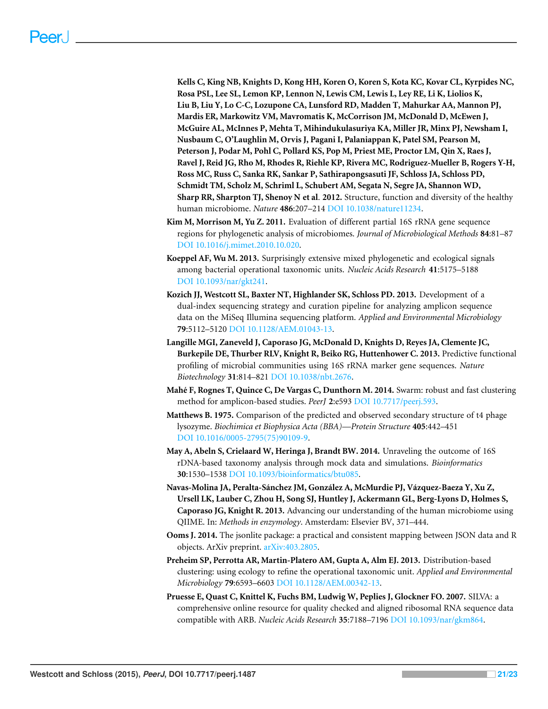**Kells C, King NB, Knights D, Kong HH, Koren O, Koren S, Kota KC, Kovar CL, Kyrpides NC, Rosa PSL, Lee SL, Lemon KP, Lennon N, Lewis CM, Lewis L, Ley RE, Li K, Liolios K, Liu B, Liu Y, Lo C-C, Lozupone CA, Lunsford RD, Madden T, Mahurkar AA, Mannon PJ, Mardis ER, Markowitz VM, Mavromatis K, McCorrison JM, McDonald D, McEwen J, McGuire AL, McInnes P, Mehta T, Mihindukulasuriya KA, Miller JR, Minx PJ, Newsham I, Nusbaum C, O'Laughlin M, Orvis J, Pagani I, Palaniappan K, Patel SM, Pearson M, Peterson J, Podar M, Pohl C, Pollard KS, Pop M, Priest ME, Proctor LM, Qin X, Raes J, Ravel J, Reid JG, Rho M, Rhodes R, Riehle KP, Rivera MC, Rodriguez-Mueller B, Rogers Y-H, Ross MC, Russ C, Sanka RK, Sankar P, Sathirapongsasuti JF, Schloss JA, Schloss PD, Schmidt TM, Scholz M, Schriml L, Schubert AM, Segata N, Segre JA, Shannon WD, Sharp RR, Sharpton TJ, Shenoy N et al**. **2012.** Structure, function and diversity of the healthy human microbiome. *Nature* **486**:207–214 DOI [10.1038/nature11234.](http://dx.doi.org/10.1038/nature11234)

- <span id="page-20-2"></span>**Kim M, Morrison M, Yu Z. 2011.** Evaluation of different partial 16S rRNA gene sequence regions for phylogenetic analysis of microbiomes. *Journal of Microbiological Methods* **84**:81–87 DOI [10.1016/j.mimet.2010.10.020.](http://dx.doi.org/10.1016/j.mimet.2010.10.020)
- <span id="page-20-5"></span>**Koeppel AF, Wu M. 2013.** Surprisingly extensive mixed phylogenetic and ecological signals among bacterial operational taxonomic units. *Nucleic Acids Research* **41**:5175–5188 DOI [10.1093/nar/gkt241.](http://dx.doi.org/10.1093/nar/gkt241)
- <span id="page-20-3"></span>**Kozich JJ, Westcott SL, Baxter NT, Highlander SK, Schloss PD. 2013.** Development of a dual-index sequencing strategy and curation pipeline for analyzing amplicon sequence data on the MiSeq Illumina sequencing platform. *Applied and Environmental Microbiology* **79**:5112–5120 DOI [10.1128/AEM.01043-13.](http://dx.doi.org/10.1128/AEM.01043-13)
- <span id="page-20-10"></span>**Langille MGI, Zaneveld J, Caporaso JG, McDonald D, Knights D, Reyes JA, Clemente JC, Burkepile DE, Thurber RLV, Knight R, Beiko RG, Huttenhower C. 2013.** Predictive functional profiling of microbial communities using 16S rRNA marker gene sequences. *Nature Biotechnology* **31**:814–821 DOI [10.1038/nbt.2676.](http://dx.doi.org/10.1038/nbt.2676)
- <span id="page-20-0"></span>**Mahé F, Rognes T, Quince C, De Vargas C, Dunthorn M. 2014.** Swarm: robust and fast clustering method for amplicon-based studies. *PeerJ* **2**:e593 DOI [10.7717/peerj.593.](http://dx.doi.org/10.7717/peerj.593)
- <span id="page-20-7"></span>**Matthews B. 1975.** Comparison of the predicted and observed secondary structure of t4 phage lysozyme. *Biochimica et Biophysica Acta (BBA)—Protein Structure* **405**:442–451 DOI [10.1016/0005-2795\(75\)90109-9.](http://dx.doi.org/10.1016/0005-2795(75)90109-9)
- <span id="page-20-4"></span>**May A, Abeln S, Crielaard W, Heringa J, Brandt BW. 2014.** Unraveling the outcome of 16S rDNA-based taxonomy analysis through mock data and simulations. *Bioinformatics* **30**:1530–1538 DOI [10.1093/bioinformatics/btu085.](http://dx.doi.org/10.1093/bioinformatics/btu085)
- <span id="page-20-1"></span>**Navas-Molina JA, Peralta-Sanchez JM, Gonz ´ alez A, McMurdie PJ, V ´ azquez-Baeza Y, Xu Z, ´ Ursell LK, Lauber C, Zhou H, Song SJ, Huntley J, Ackermann GL, Berg-Lyons D, Holmes S, Caporaso JG, Knight R. 2013.** Advancing our understanding of the human microbiome using QIIME. In: *Methods in enzymology*. Amsterdam: Elsevier BV, 371–444.
- <span id="page-20-9"></span>**Ooms J. 2014.** The jsonlite package: a practical and consistent mapping between JSON data and R objects. ArXiv preprint. [arXiv:403.2805.](http://arxiv.org/abs/403.2805)
- <span id="page-20-6"></span>**Preheim SP, Perrotta AR, Martin-Platero AM, Gupta A, Alm EJ. 2013.** Distribution-based clustering: using ecology to refine the operational taxonomic unit. *Applied and Environmental Microbiology* **79**:6593–6603 DOI [10.1128/AEM.00342-13.](http://dx.doi.org/10.1128/AEM.00342-13)
- <span id="page-20-8"></span>**Pruesse E, Quast C, Knittel K, Fuchs BM, Ludwig W, Peplies J, Glockner FO. 2007.** SILVA: a comprehensive online resource for quality checked and aligned ribosomal RNA sequence data compatible with ARB. *Nucleic Acids Research* **35**:7188–7196 DOI [10.1093/nar/gkm864.](http://dx.doi.org/10.1093/nar/gkm864)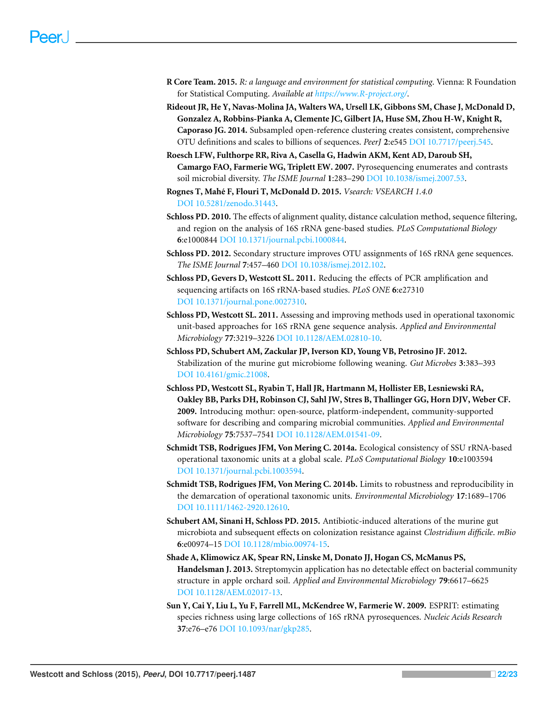- <span id="page-21-11"></span>**R Core Team. 2015.** *R: a language and environment for statistical computing*. Vienna: R Foundation for Statistical Computing. *Available at <https://www.R-project.org/>*.
- <span id="page-21-5"></span>**Rideout JR, He Y, Navas-Molina JA, Walters WA, Ursell LK, Gibbons SM, Chase J, McDonald D, Gonzalez A, Robbins-Pianka A, Clemente JC, Gilbert JA, Huse SM, Zhou H-W, Knight R, Caporaso JG. 2014.** Subsampled open-reference clustering creates consistent, comprehensive OTU definitions and scales to billions of sequences. *PeerJ* **2**:e545 DOI [10.7717/peerj.545.](http://dx.doi.org/10.7717/peerj.545)
- <span id="page-21-12"></span>**Roesch LFW, Fulthorpe RR, Riva A, Casella G, Hadwin AKM, Kent AD, Daroub SH, Camargo FAO, Farmerie WG, Triplett EW. 2007.** Pyrosequencing enumerates and contrasts soil microbial diversity. *The ISME Journal* **1**:283–290 DOI [10.1038/ismej.2007.53.](http://dx.doi.org/10.1038/ismej.2007.53)
- <span id="page-21-10"></span>**Rognes T, Mahe F, Flouri T, McDonald D. 2015. ´** *Vsearch: VSEARCH 1.4.0* DOI [10.5281/zenodo.31443.](http://dx.doi.org/10.5281/zenodo.31443)
- <span id="page-21-4"></span>**Schloss PD. 2010.** The effects of alignment quality, distance calculation method, sequence filtering, and region on the analysis of 16S rRNA gene-based studies. *PLoS Computational Biology* **6**:e1000844 DOI [10.1371/journal.pcbi.1000844.](http://dx.doi.org/10.1371/journal.pcbi.1000844)
- <span id="page-21-9"></span>**Schloss PD. 2012.** Secondary structure improves OTU assignments of 16S rRNA gene sequences. *The ISME Journal* **7**:457–460 DOI [10.1038/ismej.2012.102.](http://dx.doi.org/10.1038/ismej.2012.102)
- <span id="page-21-6"></span>**Schloss PD, Gevers D, Westcott SL. 2011.** Reducing the effects of PCR amplification and sequencing artifacts on 16S rRNA-based studies. *PLoS ONE* **6**:e27310 DOI [10.1371/journal.pone.0027310.](http://dx.doi.org/10.1371/journal.pone.0027310)
- <span id="page-21-0"></span>**Schloss PD, Westcott SL. 2011.** Assessing and improving methods used in operational taxonomic unit-based approaches for 16S rRNA gene sequence analysis. *Applied and Environmental Microbiology* **77**:3219–3226 DOI [10.1128/AEM.02810-10.](http://dx.doi.org/10.1128/AEM.02810-10)
- <span id="page-21-13"></span>**Schloss PD, Schubert AM, Zackular JP, Iverson KD, Young VB, Petrosino JF. 2012.** Stabilization of the murine gut microbiome following weaning. *Gut Microbes* **3**:383–393 DOI [10.4161/gmic.21008.](http://dx.doi.org/10.4161/gmic.21008)
- <span id="page-21-2"></span>**Schloss PD, Westcott SL, Ryabin T, Hall JR, Hartmann M, Hollister EB, Lesniewski RA, Oakley BB, Parks DH, Robinson CJ, Sahl JW, Stres B, Thallinger GG, Horn DJV, Weber CF. 2009.** Introducing mothur: open-source, platform-independent, community-supported software for describing and comparing microbial communities. *Applied and Environmental Microbiology* **75**:7537–7541 DOI [10.1128/AEM.01541-09.](http://dx.doi.org/10.1128/AEM.01541-09)
- <span id="page-21-8"></span>**Schmidt TSB, Rodrigues JFM, Von Mering C. 2014a.** Ecological consistency of SSU rRNA-based operational taxonomic units at a global scale. *PLoS Computational Biology* **10**:e1003594 DOI [10.1371/journal.pcbi.1003594.](http://dx.doi.org/10.1371/journal.pcbi.1003594)
- <span id="page-21-7"></span>**Schmidt TSB, Rodrigues JFM, Von Mering C. 2014b.** Limits to robustness and reproducibility in the demarcation of operational taxonomic units. *Environmental Microbiology* **17**:1689–1706 DOI [10.1111/1462-2920.12610.](http://dx.doi.org/10.1111/1462-2920.12610)
- <span id="page-21-14"></span>**Schubert AM, Sinani H, Schloss PD. 2015.** Antibiotic-induced alterations of the murine gut microbiota and subsequent effects on colonization resistance against *Clostridium difficile*. *mBio* **6**:e00974–15 DOI [10.1128/mbio.00974-15.](http://dx.doi.org/10.1128/mbio.00974-15)
- <span id="page-21-1"></span>**Shade A, Klimowicz AK, Spear RN, Linske M, Donato JJ, Hogan CS, McManus PS, Handelsman J. 2013.** Streptomycin application has no detectable effect on bacterial community structure in apple orchard soil. *Applied and Environmental Microbiology* **79**:6617–6625 DOI [10.1128/AEM.02017-13.](http://dx.doi.org/10.1128/AEM.02017-13)
- <span id="page-21-3"></span>**Sun Y, Cai Y, Liu L, Yu F, Farrell ML, McKendree W, Farmerie W. 2009.** ESPRIT: estimating species richness using large collections of 16S rRNA pyrosequences. *Nucleic Acids Research* **37**:e76–e76 DOI [10.1093/nar/gkp285.](http://dx.doi.org/10.1093/nar/gkp285)